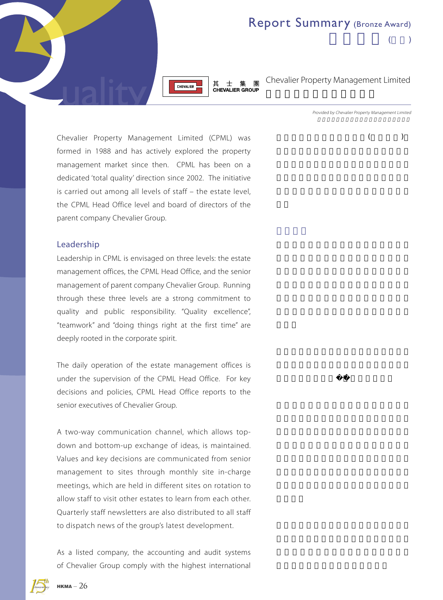

其士集團 CHEVALIER GROUP

Chevalier Property Management Limited

 $($ 

Report Summary (Bronze Award)

Provided by Chevalier Property Management Limited

 $($ 

Chevalier Property Management Limited (CPML) was formed in 1988 and has actively explored the property management market since then. CPML has been on a dedicated 'total quality' direction since 2002. The initiative is carried out among all levels of staff – the estate level, the CPML Head Office level and board of directors of the parent company Chevalier Group.

#### Leadership

Leadership in CPML is envisaged on three levels: the estate management offices, the CPML Head Office, and the senior management of parent company Chevalier Group. Running through these three levels are a strong commitment to quality and public responsibility. "Quality excellence", "teamwork" and "doing things right at the first time" are deeply rooted in the corporate spirit.

The daily operation of the estate management offices is under the supervision of the CPML Head Office. For key decisions and policies, CPML Head Office reports to the senior executives of Chevalier Group.

A two-way communication channel, which allows topdown and bottom-up exchange of ideas, is maintained. Values and key decisions are communicated from senior management to sites through monthly site in-charge meetings, which are held in different sites on rotation to allow staff to visit other estates to learn from each other. Quarterly staff newsletters are also distributed to all staff to dispatch news of the group's latest development.

As a listed company, the accounting and audit systems of Chevalier Group comply with the highest international

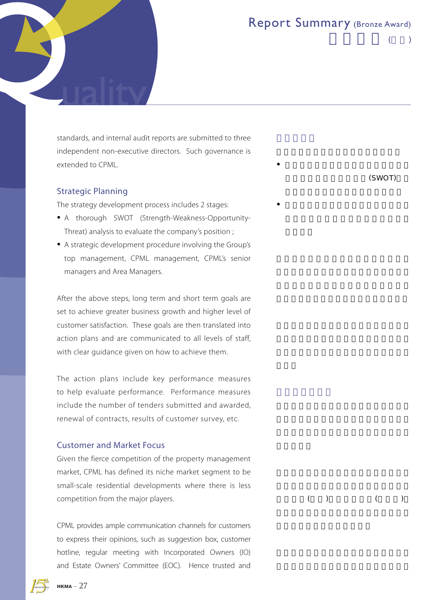$($ 

standards, and internal audit reports are submitted to three independent non-executive directors. Such governance is extended to CPML.

### Strategic Planning

The strategy development process includes 2 stages:

- A thorough SWOT (Strength-Weakness-Opportunity-Threat) analysis to evaluate the company's position ;
- A strategic development procedure involving the Group's top management, CPML management, CPML's senior managers and Area Managers.

After the above steps, long term and short term goals are set to achieve greater business growth and higher level of customer satisfaction. These goals are then translated into action plans and are communicated to all levels of staff, with clear guidance given on how to achieve them.

The action plans include key performance measures to help evaluate performance. Performance measures include the number of tenders submitted and awarded, renewal of contracts, results of customer survey, etc.

### Customer and Market Focus

Given the fierce competition of the property management market, CPML has defined its niche market segment to be small-scale residential developments where there is less competition from the major players.

CPML provides ample communication channels for customers to express their opinions, such as suggestion box, customer hotline, regular meeting with Incorporated Owners (IO) and Estate Owners' Committee (EOC). Hence trusted and

 $(SWOT)$ 

•  $\bullet$ 

• 由集團高層、其士富居管理層,以至高

 $($   $)$   $($   $)$ 

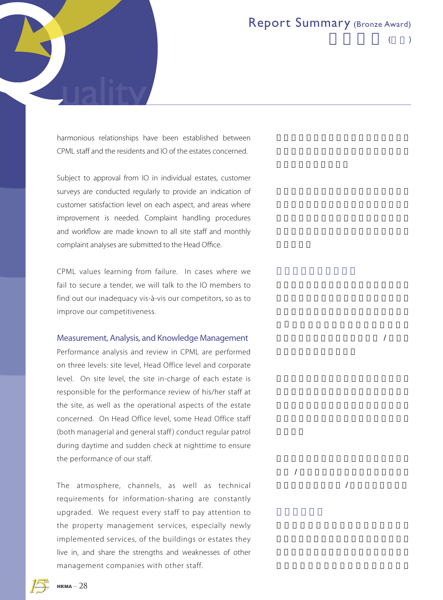$/$ 

 $/$  $/$ 



 $($ 

harmonious relationships have been established between CPML staff and the residents and IO of the estates concerned.

Subject to approval from IO in individual estates, customer surveys are conducted regularly to provide an indication of customer satisfaction level on each aspect, and areas where improvement is needed. Complaint handling procedures and workflow are made known to all site staff and monthly complaint analyses are submitted to the Head Office.

CPML values learning from failure. In cases where we fail to secure a tender, we will talk to the IO members to find out our inadequacy vis-à-vis our competitors, so as to improve our competitiveness.

#### Measurement, Analysis, and Knowledge Management

Performance analysis and review in CPML are performed on three levels: site level, Head Office level and corporate level. On site level, the site in-charge of each estate is responsible for the performance review of his/her staff at the site, as well as the operational aspects of the estate concerned. On Head Office level, some Head Office staff (both managerial and general staff ) conduct regular patrol during daytime and sudden check at nighttime to ensure the performance of our staff.

The atmosphere, channels, as well as technical requirements for information-sharing are constantly upgraded. We request every staff to pay attention to the property management services, especially newly implemented services, of the buildings or estates they live in, and share the strengths and weaknesses of other management companies with other staff.

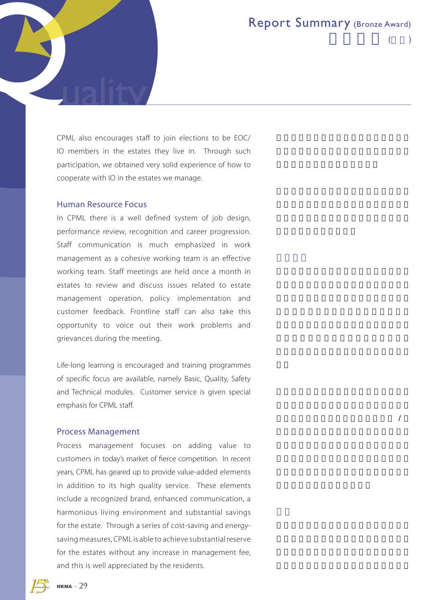$\overline{\phantom{a}}$ 

 $($ 

CPML also encourages staff to join elections to be EOC/ IO members in the estates they live in. Through such participation, we obtained very solid experience of how to cooperate with IO in the estates we manage.

#### Human Resource Focus

In CPML there is a well defined system of job design, performance review, recognition and career progression. Staff communication is much emphasized in work management as a cohesive working team is an effective working team. Staff meetings are held once a month in estates to review and discuss issues related to estate management operation, policy implementation and customer feedback. Frontline staff can also take this opportunity to voice out their work problems and grievances during the meeting.

Life-long learning is encouraged and training programmes of specific focus are available, namely Basic, Quality, Safety and Technical modules. Customer service is given special emphasis for CPML staff.

### Process Management

Process management focuses on adding value to customers in today's market of fierce competition. In recent years, CPML has geared up to provide value-added elements in addition to its high quality service. These elements include a recognized brand, enhanced communication, a harmonious living environment and substantial savings for the estate. Through a series of cost-saving and energysaving measures, CPML is able to achieve substantial reserve for the estates without any increase in management fee, and this is well appreciated by the residents.